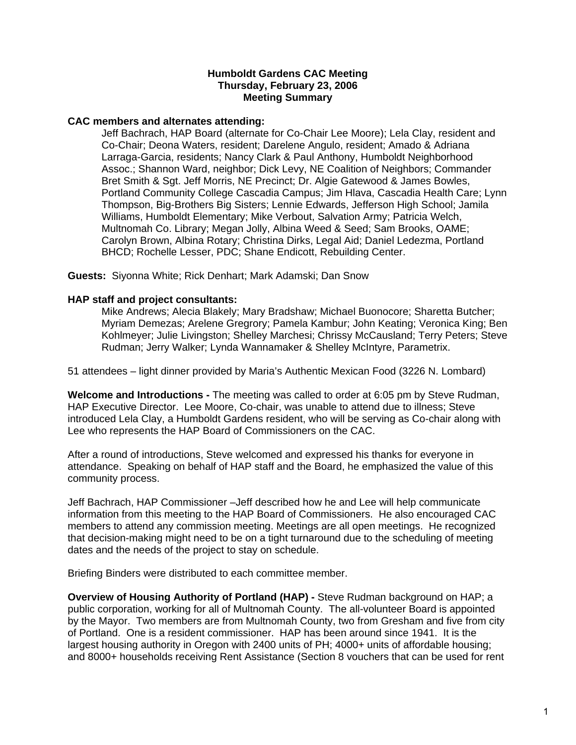## **Humboldt Gardens CAC Meeting Thursday, February 23, 2006 Meeting Summary**

## **CAC members and alternates attending:**

Jeff Bachrach, HAP Board (alternate for Co-Chair Lee Moore); Lela Clay, resident and Co-Chair; Deona Waters, resident; Darelene Angulo, resident; Amado & Adriana Larraga-Garcia, residents; Nancy Clark & Paul Anthony, Humboldt Neighborhood Assoc.; Shannon Ward, neighbor; Dick Levy, NE Coalition of Neighbors; Commander Bret Smith & Sgt. Jeff Morris, NE Precinct; Dr. Algie Gatewood & James Bowles, Portland Community College Cascadia Campus; Jim Hlava, Cascadia Health Care; Lynn Thompson, Big-Brothers Big Sisters; Lennie Edwards, Jefferson High School; Jamila Williams, Humboldt Elementary; Mike Verbout, Salvation Army; Patricia Welch, Multnomah Co. Library; Megan Jolly, Albina Weed & Seed; Sam Brooks, OAME; Carolyn Brown, Albina Rotary; Christina Dirks, Legal Aid; Daniel Ledezma, Portland BHCD; Rochelle Lesser, PDC; Shane Endicott, Rebuilding Center.

**Guests:** Siyonna White; Rick Denhart; Mark Adamski; Dan Snow

## **HAP staff and project consultants:**

Mike Andrews; Alecia Blakely; Mary Bradshaw; Michael Buonocore; Sharetta Butcher; Myriam Demezas; Arelene Gregrory; Pamela Kambur; John Keating; Veronica King; Ben Kohlmeyer; Julie Livingston; Shelley Marchesi; Chrissy McCausland; Terry Peters; Steve Rudman; Jerry Walker; Lynda Wannamaker & Shelley McIntyre, Parametrix.

51 attendees – light dinner provided by Maria's Authentic Mexican Food (3226 N. Lombard)

**Welcome and Introductions -** The meeting was called to order at 6:05 pm by Steve Rudman, HAP Executive Director. Lee Moore, Co-chair, was unable to attend due to illness; Steve introduced Lela Clay, a Humboldt Gardens resident, who will be serving as Co-chair along with Lee who represents the HAP Board of Commissioners on the CAC.

After a round of introductions, Steve welcomed and expressed his thanks for everyone in attendance. Speaking on behalf of HAP staff and the Board, he emphasized the value of this community process.

Jeff Bachrach, HAP Commissioner –Jeff described how he and Lee will help communicate information from this meeting to the HAP Board of Commissioners. He also encouraged CAC members to attend any commission meeting. Meetings are all open meetings. He recognized that decision-making might need to be on a tight turnaround due to the scheduling of meeting dates and the needs of the project to stay on schedule.

Briefing Binders were distributed to each committee member.

**Overview of Housing Authority of Portland (HAP) -** Steve Rudman background on HAP; a public corporation, working for all of Multnomah County. The all-volunteer Board is appointed by the Mayor. Two members are from Multnomah County, two from Gresham and five from city of Portland. One is a resident commissioner. HAP has been around since 1941. It is the largest housing authority in Oregon with 2400 units of PH; 4000+ units of affordable housing; and 8000+ households receiving Rent Assistance (Section 8 vouchers that can be used for rent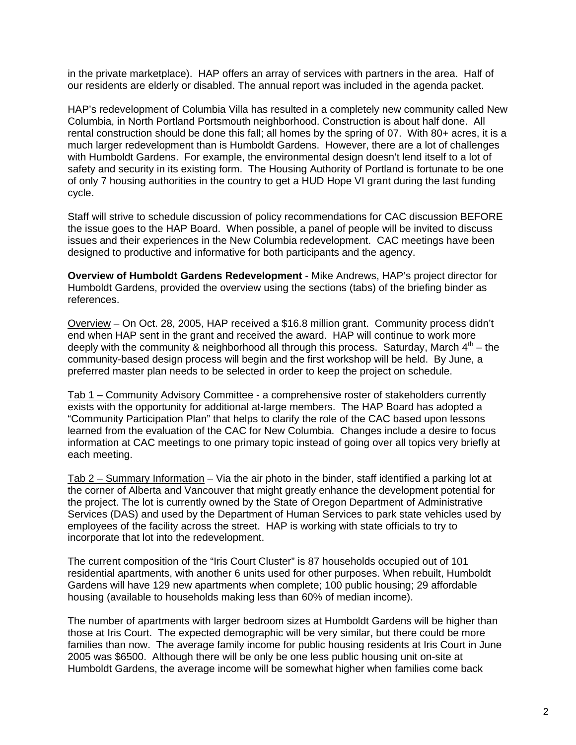in the private marketplace). HAP offers an array of services with partners in the area. Half of our residents are elderly or disabled. The annual report was included in the agenda packet.

HAP's redevelopment of Columbia Villa has resulted in a completely new community called New Columbia, in North Portland Portsmouth neighborhood. Construction is about half done. All rental construction should be done this fall; all homes by the spring of 07. With 80+ acres, it is a much larger redevelopment than is Humboldt Gardens. However, there are a lot of challenges with Humboldt Gardens. For example, the environmental design doesn't lend itself to a lot of safety and security in its existing form. The Housing Authority of Portland is fortunate to be one of only 7 housing authorities in the country to get a HUD Hope VI grant during the last funding cycle.

Staff will strive to schedule discussion of policy recommendations for CAC discussion BEFORE the issue goes to the HAP Board. When possible, a panel of people will be invited to discuss issues and their experiences in the New Columbia redevelopment. CAC meetings have been designed to productive and informative for both participants and the agency.

**Overview of Humboldt Gardens Redevelopment** - Mike Andrews, HAP's project director for Humboldt Gardens, provided the overview using the sections (tabs) of the briefing binder as references.

Overview – On Oct. 28, 2005, HAP received a \$16.8 million grant. Community process didn't end when HAP sent in the grant and received the award. HAP will continue to work more deeply with the community & neighborhood all through this process. Saturday, March  $4<sup>th</sup>$  – the community-based design process will begin and the first workshop will be held. By June, a preferred master plan needs to be selected in order to keep the project on schedule.

Tab 1 – Community Advisory Committee - a comprehensive roster of stakeholders currently exists with the opportunity for additional at-large members. The HAP Board has adopted a "Community Participation Plan" that helps to clarify the role of the CAC based upon lessons learned from the evaluation of the CAC for New Columbia. Changes include a desire to focus information at CAC meetings to one primary topic instead of going over all topics very briefly at each meeting.

Tab 2 – Summary Information – Via the air photo in the binder, staff identified a parking lot at the corner of Alberta and Vancouver that might greatly enhance the development potential for the project. The lot is currently owned by the State of Oregon Department of Administrative Services (DAS) and used by the Department of Human Services to park state vehicles used by employees of the facility across the street. HAP is working with state officials to try to incorporate that lot into the redevelopment.

The current composition of the "Iris Court Cluster" is 87 households occupied out of 101 residential apartments, with another 6 units used for other purposes. When rebuilt, Humboldt Gardens will have 129 new apartments when complete; 100 public housing; 29 affordable housing (available to households making less than 60% of median income).

The number of apartments with larger bedroom sizes at Humboldt Gardens will be higher than those at Iris Court. The expected demographic will be very similar, but there could be more families than now. The average family income for public housing residents at Iris Court in June 2005 was \$6500. Although there will be only be one less public housing unit on-site at Humboldt Gardens, the average income will be somewhat higher when families come back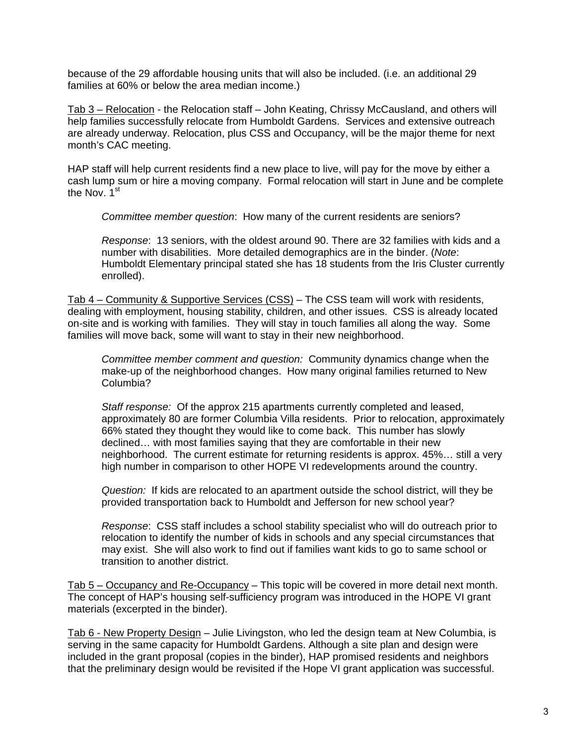because of the 29 affordable housing units that will also be included. (i.e. an additional 29 families at 60% or below the area median income.)

Tab 3 – Relocation - the Relocation staff – John Keating, Chrissy McCausland, and others will help families successfully relocate from Humboldt Gardens. Services and extensive outreach are already underway. Relocation, plus CSS and Occupancy, will be the major theme for next month's CAC meeting.

HAP staff will help current residents find a new place to live, will pay for the move by either a cash lump sum or hire a moving company. Formal relocation will start in June and be complete the Nov. 1<sup>st</sup>

*Committee member question*: How many of the current residents are seniors?

*Response*: 13 seniors, with the oldest around 90. There are 32 families with kids and a number with disabilities. More detailed demographics are in the binder. (*Note*: Humboldt Elementary principal stated she has 18 students from the Iris Cluster currently enrolled).

Tab 4 – Community & Supportive Services (CSS) – The CSS team will work with residents, dealing with employment, housing stability, children, and other issues. CSS is already located on-site and is working with families. They will stay in touch families all along the way. Some families will move back, some will want to stay in their new neighborhood.

*Committee member comment and question:* Community dynamics change when the make-up of the neighborhood changes. How many original families returned to New Columbia?

*Staff response:* Of the approx 215 apartments currently completed and leased, approximately 80 are former Columbia Villa residents. Prior to relocation, approximately 66% stated they thought they would like to come back. This number has slowly declined… with most families saying that they are comfortable in their new neighborhood. The current estimate for returning residents is approx. 45%… still a very high number in comparison to other HOPE VI redevelopments around the country.

*Question:* If kids are relocated to an apartment outside the school district, will they be provided transportation back to Humboldt and Jefferson for new school year?

*Response*: CSS staff includes a school stability specialist who will do outreach prior to relocation to identify the number of kids in schools and any special circumstances that may exist. She will also work to find out if families want kids to go to same school or transition to another district.

Tab 5 – Occupancy and Re-Occupancy – This topic will be covered in more detail next month. The concept of HAP's housing self-sufficiency program was introduced in the HOPE VI grant materials (excerpted in the binder).

Tab 6 - New Property Design – Julie Livingston, who led the design team at New Columbia, is serving in the same capacity for Humboldt Gardens. Although a site plan and design were included in the grant proposal (copies in the binder), HAP promised residents and neighbors that the preliminary design would be revisited if the Hope VI grant application was successful.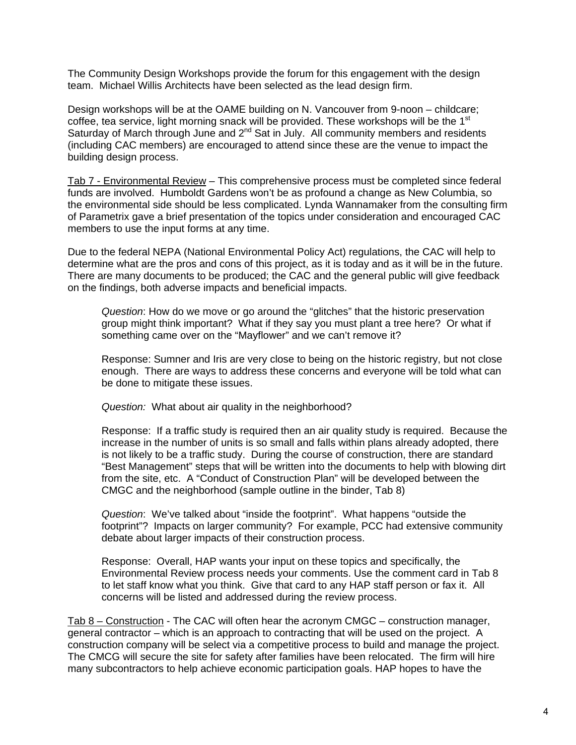The Community Design Workshops provide the forum for this engagement with the design team. Michael Willis Architects have been selected as the lead design firm.

Design workshops will be at the OAME building on N. Vancouver from 9-noon – childcare; coffee, tea service, light morning snack will be provided. These workshops will be the 1<sup>st</sup> Saturday of March through June and  $2^{nd}$  Sat in July. All community members and residents (including CAC members) are encouraged to attend since these are the venue to impact the building design process.

Tab 7 - Environmental Review – This comprehensive process must be completed since federal funds are involved. Humboldt Gardens won't be as profound a change as New Columbia, so the environmental side should be less complicated. Lynda Wannamaker from the consulting firm of Parametrix gave a brief presentation of the topics under consideration and encouraged CAC members to use the input forms at any time.

Due to the federal NEPA (National Environmental Policy Act) regulations, the CAC will help to determine what are the pros and cons of this project, as it is today and as it will be in the future. There are many documents to be produced; the CAC and the general public will give feedback on the findings, both adverse impacts and beneficial impacts.

*Question*: How do we move or go around the "glitches" that the historic preservation group might think important? What if they say you must plant a tree here? Or what if something came over on the "Mayflower" and we can't remove it?

Response: Sumner and Iris are very close to being on the historic registry, but not close enough. There are ways to address these concerns and everyone will be told what can be done to mitigate these issues.

*Question:* What about air quality in the neighborhood?

Response: If a traffic study is required then an air quality study is required. Because the increase in the number of units is so small and falls within plans already adopted, there is not likely to be a traffic study. During the course of construction, there are standard "Best Management" steps that will be written into the documents to help with blowing dirt from the site, etc. A "Conduct of Construction Plan" will be developed between the CMGC and the neighborhood (sample outline in the binder, Tab 8)

*Question*: We've talked about "inside the footprint". What happens "outside the footprint"? Impacts on larger community? For example, PCC had extensive community debate about larger impacts of their construction process.

Response: Overall, HAP wants your input on these topics and specifically, the Environmental Review process needs your comments. Use the comment card in Tab 8 to let staff know what you think. Give that card to any HAP staff person or fax it. All concerns will be listed and addressed during the review process.

Tab 8 – Construction - The CAC will often hear the acronym CMGC – construction manager, general contractor – which is an approach to contracting that will be used on the project. A construction company will be select via a competitive process to build and manage the project. The CMCG will secure the site for safety after families have been relocated. The firm will hire many subcontractors to help achieve economic participation goals. HAP hopes to have the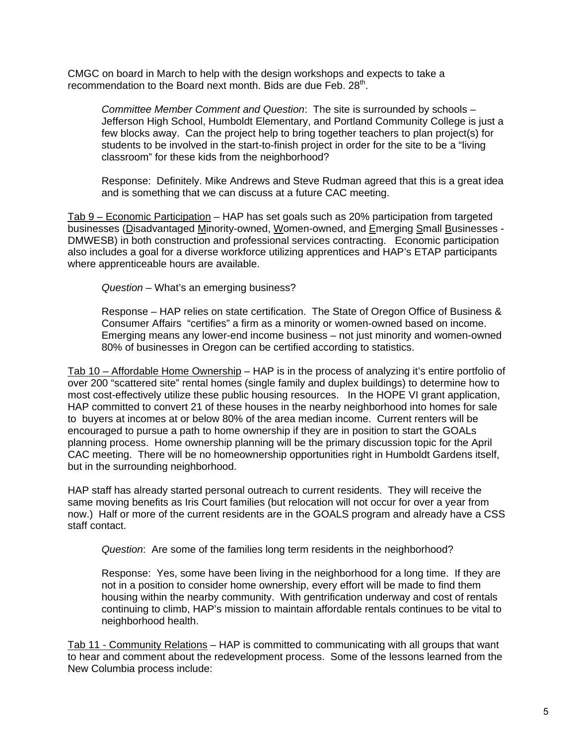CMGC on board in March to help with the design workshops and expects to take a recommendation to the Board next month. Bids are due Feb.  $28<sup>th</sup>$ .

*Committee Member Comment and Question*: The site is surrounded by schools – Jefferson High School, Humboldt Elementary, and Portland Community College is just a few blocks away. Can the project help to bring together teachers to plan project(s) for students to be involved in the start-to-finish project in order for the site to be a "living classroom" for these kids from the neighborhood?

Response: Definitely. Mike Andrews and Steve Rudman agreed that this is a great idea and is something that we can discuss at a future CAC meeting.

Tab 9 – Economic Participation – HAP has set goals such as 20% participation from targeted businesses (Disadvantaged Minority-owned, Women-owned, and Emerging Small Businesses - DMWESB) in both construction and professional services contracting. Economic participation also includes a goal for a diverse workforce utilizing apprentices and HAP's ETAP participants where apprenticeable hours are available.

*Question* – What's an emerging business?

Response – HAP relies on state certification. The State of Oregon Office of Business & Consumer Affairs "certifies" a firm as a minority or women-owned based on income. Emerging means any lower-end income business – not just minority and women-owned 80% of businesses in Oregon can be certified according to statistics.

Tab 10 – Affordable Home Ownership – HAP is in the process of analyzing it's entire portfolio of over 200 "scattered site" rental homes (single family and duplex buildings) to determine how to most cost-effectively utilize these public housing resources. In the HOPE VI grant application, HAP committed to convert 21 of these houses in the nearby neighborhood into homes for sale to buyers at incomes at or below 80% of the area median income. Current renters will be encouraged to pursue a path to home ownership if they are in position to start the GOALs planning process. Home ownership planning will be the primary discussion topic for the April CAC meeting. There will be no homeownership opportunities right in Humboldt Gardens itself, but in the surrounding neighborhood.

HAP staff has already started personal outreach to current residents. They will receive the same moving benefits as Iris Court families (but relocation will not occur for over a year from now.) Half or more of the current residents are in the GOALS program and already have a CSS staff contact.

*Question*: Are some of the families long term residents in the neighborhood?

Response: Yes, some have been living in the neighborhood for a long time. If they are not in a position to consider home ownership, every effort will be made to find them housing within the nearby community. With gentrification underway and cost of rentals continuing to climb, HAP's mission to maintain affordable rentals continues to be vital to neighborhood health.

Tab 11 - Community Relations – HAP is committed to communicating with all groups that want to hear and comment about the redevelopment process. Some of the lessons learned from the New Columbia process include: